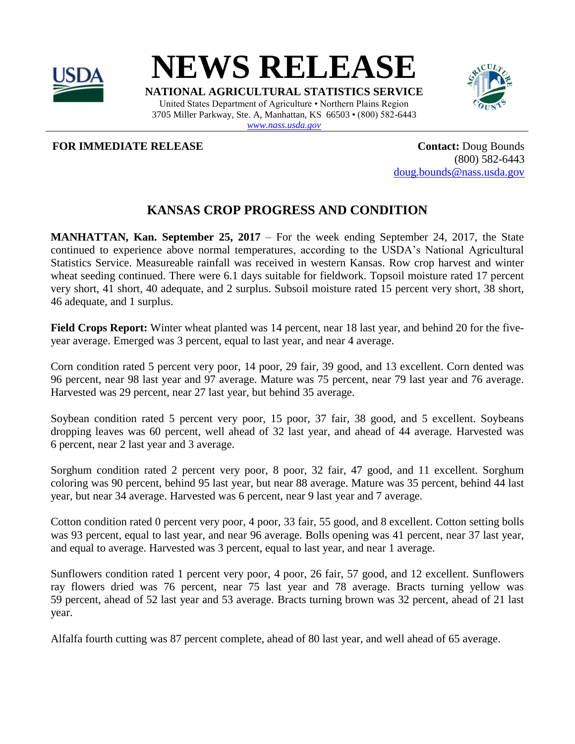

**NEWS RELEASE**

**NATIONAL AGRICULTURAL STATISTICS SERVICE** United States Department of Agriculture • Northern Plains Region 3705 Miller Parkway, Ste. A, Manhattan, KS 66503 • (800) 582-6443 *[www.nass.usda.gov](http://www.nass.usda.gov/)*



**FOR IMMEDIATE RELEASE CONTACTE ASSESSED ASSESSED ASSESSED ASSESSED ASSESSED ASSESSED AND LODGE BOUNDS** 

(800) 582-6443 [doug.bounds@nass.usda.gov](mailto:doug.bounds@nass.usda.gov)

## **KANSAS CROP PROGRESS AND CONDITION**

**MANHATTAN, Kan. September 25, 2017** – For the week ending September 24, 2017, the State continued to experience above normal temperatures, according to the USDA's National Agricultural Statistics Service. Measureable rainfall was received in western Kansas. Row crop harvest and winter wheat seeding continued. There were 6.1 days suitable for fieldwork. Topsoil moisture rated 17 percent very short, 41 short, 40 adequate, and 2 surplus. Subsoil moisture rated 15 percent very short, 38 short, 46 adequate, and 1 surplus.

**Field Crops Report:** Winter wheat planted was 14 percent, near 18 last year, and behind 20 for the fiveyear average. Emerged was 3 percent, equal to last year, and near 4 average.

Corn condition rated 5 percent very poor, 14 poor, 29 fair, 39 good, and 13 excellent. Corn dented was 96 percent, near 98 last year and 97 average. Mature was 75 percent, near 79 last year and 76 average. Harvested was 29 percent, near 27 last year, but behind 35 average.

Soybean condition rated 5 percent very poor, 15 poor, 37 fair, 38 good, and 5 excellent. Soybeans dropping leaves was 60 percent, well ahead of 32 last year, and ahead of 44 average. Harvested was 6 percent, near 2 last year and 3 average.

Sorghum condition rated 2 percent very poor, 8 poor, 32 fair, 47 good, and 11 excellent. Sorghum coloring was 90 percent, behind 95 last year, but near 88 average. Mature was 35 percent, behind 44 last year, but near 34 average. Harvested was 6 percent, near 9 last year and 7 average.

Cotton condition rated 0 percent very poor, 4 poor, 33 fair, 55 good, and 8 excellent. Cotton setting bolls was 93 percent, equal to last year, and near 96 average. Bolls opening was 41 percent, near 37 last year, and equal to average. Harvested was 3 percent, equal to last year, and near 1 average.

Sunflowers condition rated 1 percent very poor, 4 poor, 26 fair, 57 good, and 12 excellent. Sunflowers ray flowers dried was 76 percent, near 75 last year and 78 average. Bracts turning yellow was 59 percent, ahead of 52 last year and 53 average. Bracts turning brown was 32 percent, ahead of 21 last year.

Alfalfa fourth cutting was 87 percent complete, ahead of 80 last year, and well ahead of 65 average.